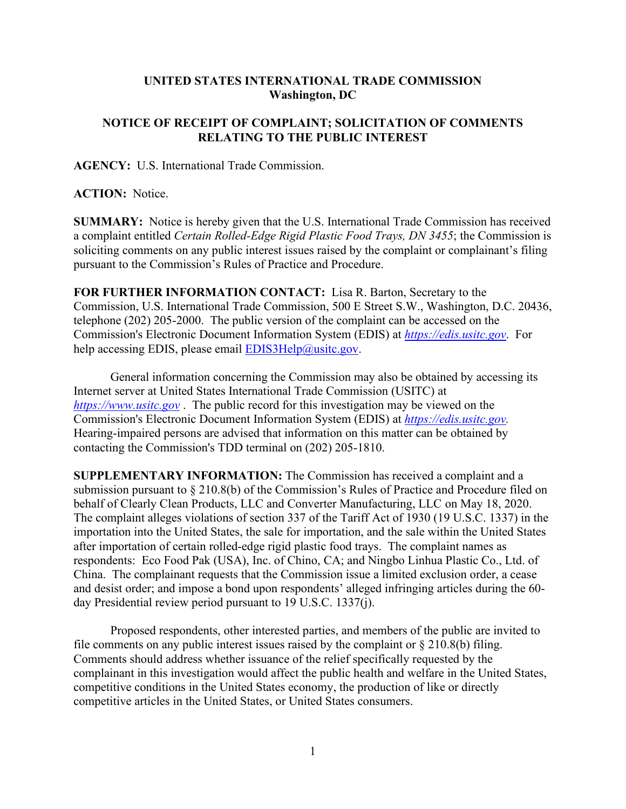## **UNITED STATES INTERNATIONAL TRADE COMMISSION Washington, DC**

## **NOTICE OF RECEIPT OF COMPLAINT; SOLICITATION OF COMMENTS RELATING TO THE PUBLIC INTEREST**

**AGENCY:** U.S. International Trade Commission.

**ACTION:** Notice.

**SUMMARY:** Notice is hereby given that the U.S. International Trade Commission has received a complaint entitled *Certain Rolled-Edge Rigid Plastic Food Trays, DN 3455*; the Commission is soliciting comments on any public interest issues raised by the complaint or complainant's filing pursuant to the Commission's Rules of Practice and Procedure.

**FOR FURTHER INFORMATION CONTACT:** Lisa R. Barton, Secretary to the Commission, U.S. International Trade Commission, 500 E Street S.W., Washington, D.C. 20436, telephone (202) 205-2000. The public version of the complaint can be accessed on the Commission's Electronic Document Information System (EDIS) at *[https://edis.usitc.gov](https://edis.usitc.gov/)*. For help accessing EDIS, please email [EDIS3Help@usitc.gov.](mailto:EDIS3Help@usitc.gov)

General information concerning the Commission may also be obtained by accessing its Internet server at United States International Trade Commission (USITC) at *[https://www.usitc.gov](https://www.usitc.gov/)* . The public record for this investigation may be viewed on the Commission's Electronic Document Information System (EDIS) at *[https://edis.usitc.gov.](https://edis.usitc.gov/)* Hearing-impaired persons are advised that information on this matter can be obtained by contacting the Commission's TDD terminal on (202) 205-1810.

**SUPPLEMENTARY INFORMATION:** The Commission has received a complaint and a submission pursuant to § 210.8(b) of the Commission's Rules of Practice and Procedure filed on behalf of Clearly Clean Products, LLC and Converter Manufacturing, LLC on May 18, 2020. The complaint alleges violations of section 337 of the Tariff Act of 1930 (19 U.S.C. 1337) in the importation into the United States, the sale for importation, and the sale within the United States after importation of certain rolled-edge rigid plastic food trays. The complaint names as respondents: Eco Food Pak (USA), Inc. of Chino, CA; and Ningbo Linhua Plastic Co., Ltd. of China. The complainant requests that the Commission issue a limited exclusion order, a cease and desist order; and impose a bond upon respondents' alleged infringing articles during the 60 day Presidential review period pursuant to 19 U.S.C. 1337(j).

Proposed respondents, other interested parties, and members of the public are invited to file comments on any public interest issues raised by the complaint or  $\S 210.8(b)$  filing. Comments should address whether issuance of the relief specifically requested by the complainant in this investigation would affect the public health and welfare in the United States, competitive conditions in the United States economy, the production of like or directly competitive articles in the United States, or United States consumers.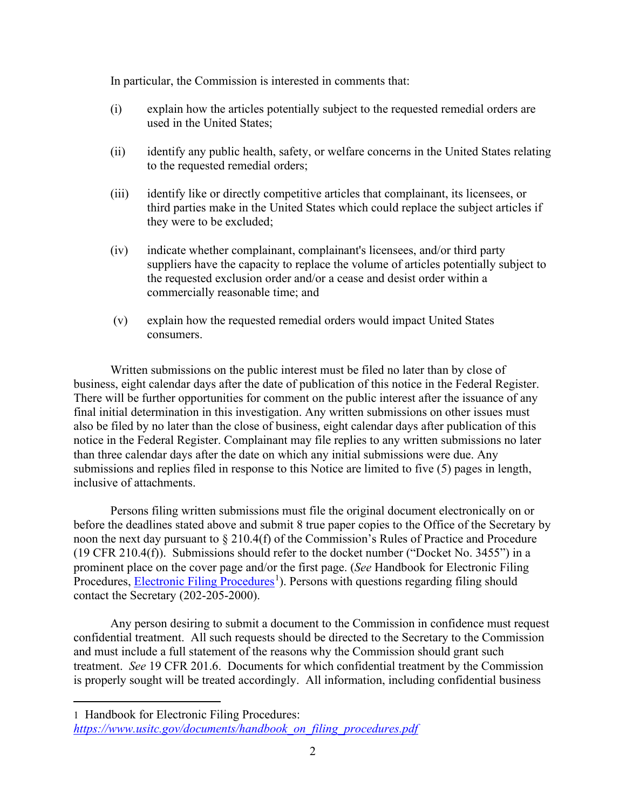In particular, the Commission is interested in comments that:

- (i) explain how the articles potentially subject to the requested remedial orders are used in the United States;
- (ii) identify any public health, safety, or welfare concerns in the United States relating to the requested remedial orders;
- (iii) identify like or directly competitive articles that complainant, its licensees, or third parties make in the United States which could replace the subject articles if they were to be excluded;
- (iv) indicate whether complainant, complainant's licensees, and/or third party suppliers have the capacity to replace the volume of articles potentially subject to the requested exclusion order and/or a cease and desist order within a commercially reasonable time; and
- (v) explain how the requested remedial orders would impact United States consumers.

Written submissions on the public interest must be filed no later than by close of business, eight calendar days after the date of publication of this notice in the Federal Register. There will be further opportunities for comment on the public interest after the issuance of any final initial determination in this investigation. Any written submissions on other issues must also be filed by no later than the close of business, eight calendar days after publication of this notice in the Federal Register. Complainant may file replies to any written submissions no later than three calendar days after the date on which any initial submissions were due. Any submissions and replies filed in response to this Notice are limited to five (5) pages in length, inclusive of attachments.

Persons filing written submissions must file the original document electronically on or before the deadlines stated above and submit 8 true paper copies to the Office of the Secretary by noon the next day pursuant to § 210.4(f) of the Commission's Rules of Practice and Procedure (19 CFR 210.4(f)). Submissions should refer to the docket number ("Docket No. 3455") in a prominent place on the cover page and/or the first page. (*See* Handbook for Electronic Filing Procedures, **Electronic Filing Procedures**<sup>[1](#page-1-0)</sup>). Persons with questions regarding filing should contact the Secretary (202-205-2000).

Any person desiring to submit a document to the Commission in confidence must request confidential treatment. All such requests should be directed to the Secretary to the Commission and must include a full statement of the reasons why the Commission should grant such treatment. *See* 19 CFR 201.6. Documents for which confidential treatment by the Commission is properly sought will be treated accordingly. All information, including confidential business

<span id="page-1-0"></span><sup>1</sup> Handbook for Electronic Filing Procedures: *[https://www.usitc.gov/documents/handbook\\_on\\_filing\\_procedures.pdf](https://www.usitc.gov/documents/handbook_on_filing_procedures.pdf)*